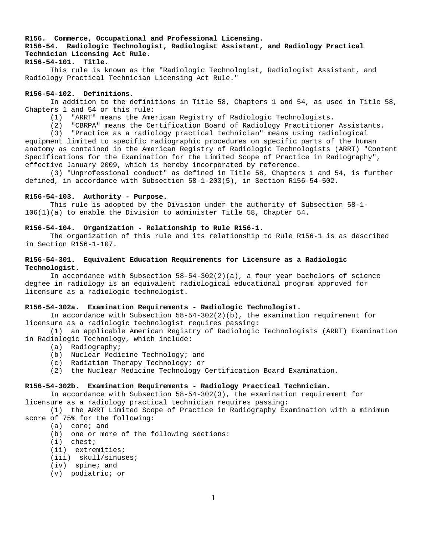## **R156. Commerce, Occupational and Professional Licensing. R156-54. Radiologic Technologist, Radiologist Assistant, and Radiology Practical Technician Licensing Act Rule. R156-54-101. Title.**

 This rule is known as the "Radiologic Technologist, Radiologist Assistant, and Radiology Practical Technician Licensing Act Rule."

#### **R156-54-102. Definitions.**

 In addition to the definitions in Title 58, Chapters 1 and 54, as used in Title 58, Chapters 1 and 54 or this rule:

(1) "ARRT" means the American Registry of Radiologic Technologists.

(2) "CBRPA" means the Certification Board of Radiology Practitioner Assistants.

 (3) "Practice as a radiology practical technician" means using radiological equipment limited to specific radiographic procedures on specific parts of the human

anatomy as contained in the American Registry of Radiologic Technologists (ARRT) "Content Specifications for the Examination for the Limited Scope of Practice in Radiography", effective January 2009, which is hereby incorporated by reference.

 (3) "Unprofessional conduct" as defined in Title 58, Chapters 1 and 54, is further defined, in accordance with Subsection 58-1-203(5), in Section R156-54-502.

#### **R156-54-103. Authority - Purpose.**

 This rule is adopted by the Division under the authority of Subsection 58-1- 106(1)(a) to enable the Division to administer Title 58, Chapter 54.

#### **R156-54-104. Organization - Relationship to Rule R156-1.**

The organization of this rule and its relationship to Rule R156-1 is as described in Section R156-1-107.

## **R156-54-301. Equivalent Education Requirements for Licensure as a Radiologic Technologist.**

In accordance with Subsection 58-54-302(2)(a), a four year bachelors of science degree in radiology is an equivalent radiological educational program approved for licensure as a radiologic technologist.

#### **R156-54-302a. Examination Requirements - Radiologic Technologist.**

In accordance with Subsection  $58-54-302(2)(b)$ , the examination requirement for licensure as a radiologic technologist requires passing:

(1) an applicable American Registry of Radiologic Technologists (ARRT) Examination in Radiologic Technology, which include:

- (a) Radiography;
- (b) Nuclear Medicine Technology; and
- (c) Radiation Therapy Technology; or
- (2) the Nuclear Medicine Technology Certification Board Examination.

#### **R156-54-302b. Examination Requirements - Radiology Practical Technician.**

 In accordance with Subsection 58-54-302(3), the examination requirement for licensure as a radiology practical technician requires passing:

 (1) the ARRT Limited Scope of Practice in Radiography Examination with a minimum score of 75% for the following:

- (a) core; and
- (b) one or more of the following sections:
- (i) chest;
- (ii) extremities;
- (iii) skull/sinuses;
- (iv) spine; and
- (v) podiatric; or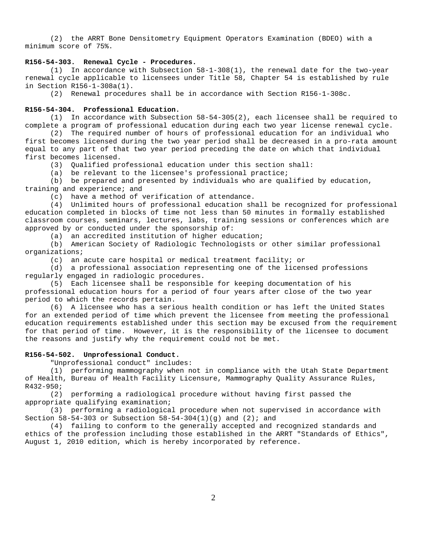(2) the ARRT Bone Densitometry Equipment Operators Examination (BDEO) with a minimum score of 75%.

## **R156-54-303. Renewal Cycle - Procedures.**

(1) In accordance with Subsection 58-1-308(1), the renewal date for the two-year renewal cycle applicable to licensees under Title 58, Chapter 54 is established by rule in Section R156-1-308a(1).

(2) Renewal procedures shall be in accordance with Section R156-1-308c.

### **R156-54-304. Professional Education.**

(1) In accordance with Subsection 58-54-305(2), each licensee shall be required to complete a program of professional education during each two year license renewal cycle.

(2) The required number of hours of professional education for an individual who first becomes licensed during the two year period shall be decreased in a pro-rata amount equal to any part of that two year period preceding the date on which that individual first becomes licensed.

(3) Qualified professional education under this section shall:

(a) be relevant to the licensee's professional practice;

(b) be prepared and presented by individuals who are qualified by education, training and experience; and

(c) have a method of verification of attendance.

(4) Unlimited hours of professional education shall be recognized for professional education completed in blocks of time not less than 50 minutes in formally established classroom courses, seminars, lectures, labs, training sessions or conferences which are approved by or conducted under the sponsorship of:

(a) an accredited institution of higher education;

(b) American Society of Radiologic Technologists or other similar professional organizations;

(c) an acute care hospital or medical treatment facility; or

(d) a professional association representing one of the licensed professions regularly engaged in radiologic procedures.

(5) Each licensee shall be responsible for keeping documentation of his professional education hours for a period of four years after close of the two year period to which the records pertain.

(6) A licensee who has a serious health condition or has left the United States for an extended period of time which prevent the licensee from meeting the professional education requirements established under this section may be excused from the requirement for that period of time. However, it is the responsibility of the licensee to document the reasons and justify why the requirement could not be met.

#### **R156-54-502. Unprofessional Conduct.**

"Unprofessional conduct" includes:

(1) performing mammography when not in compliance with the Utah State Department of Health, Bureau of Health Facility Licensure, Mammography Quality Assurance Rules, R432-950;

(2) performing a radiological procedure without having first passed the appropriate qualifying examination;

(3) performing a radiological procedure when not supervised in accordance with Section 58-54-303 or Subsection 58-54-304(1)(g) and (2); and

(4) failing to conform to the generally accepted and recognized standards and ethics of the profession including those established in the ARRT "Standards of Ethics", August 1, 2010 edition, which is hereby incorporated by reference.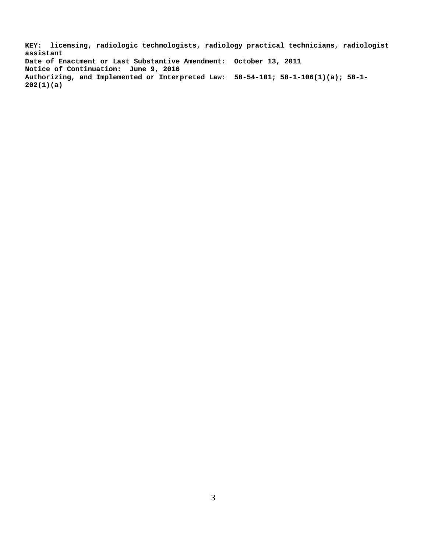**KEY: licensing, radiologic technologists, radiology practical technicians, radiologist assistant Date of Enactment or Last Substantive Amendment: October 13, 2011 Notice of Continuation: June 9, 2016 Authorizing, and Implemented or Interpreted Law: 58-54-101; 58-1-106(1)(a); 58-1- 202(1)(a)**